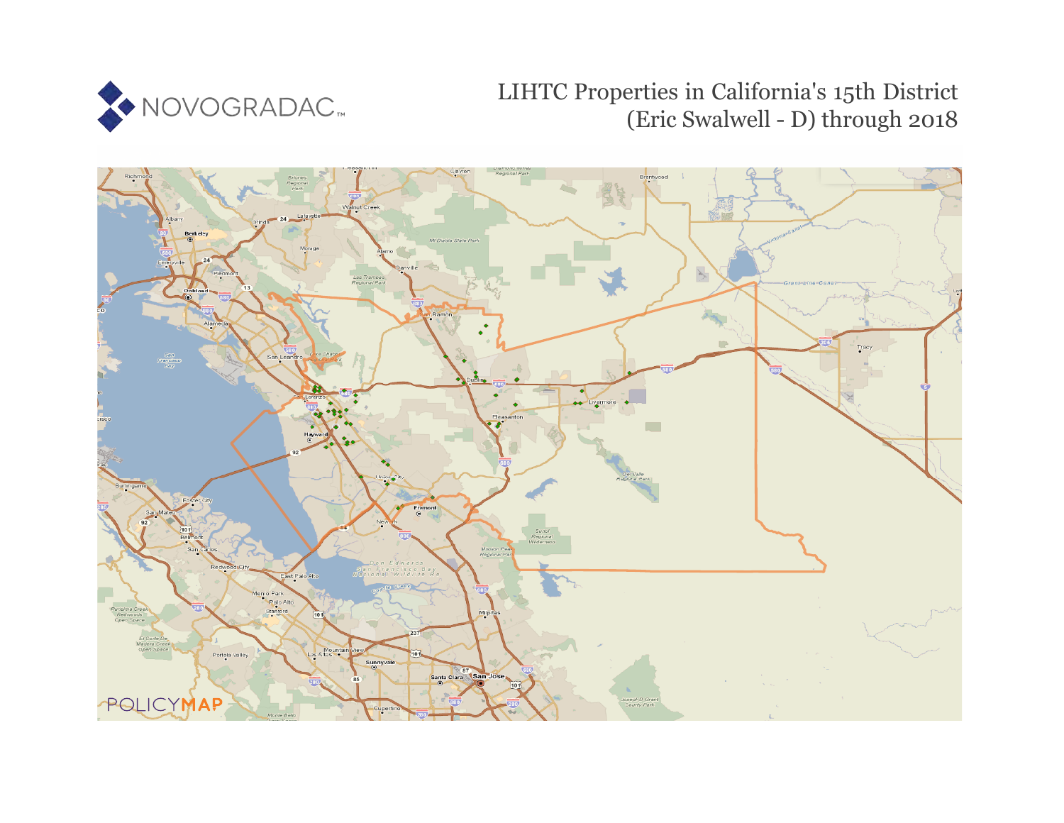

# LIHTC Properties in California's 15th District (Eric Swalwell - D) through 2018

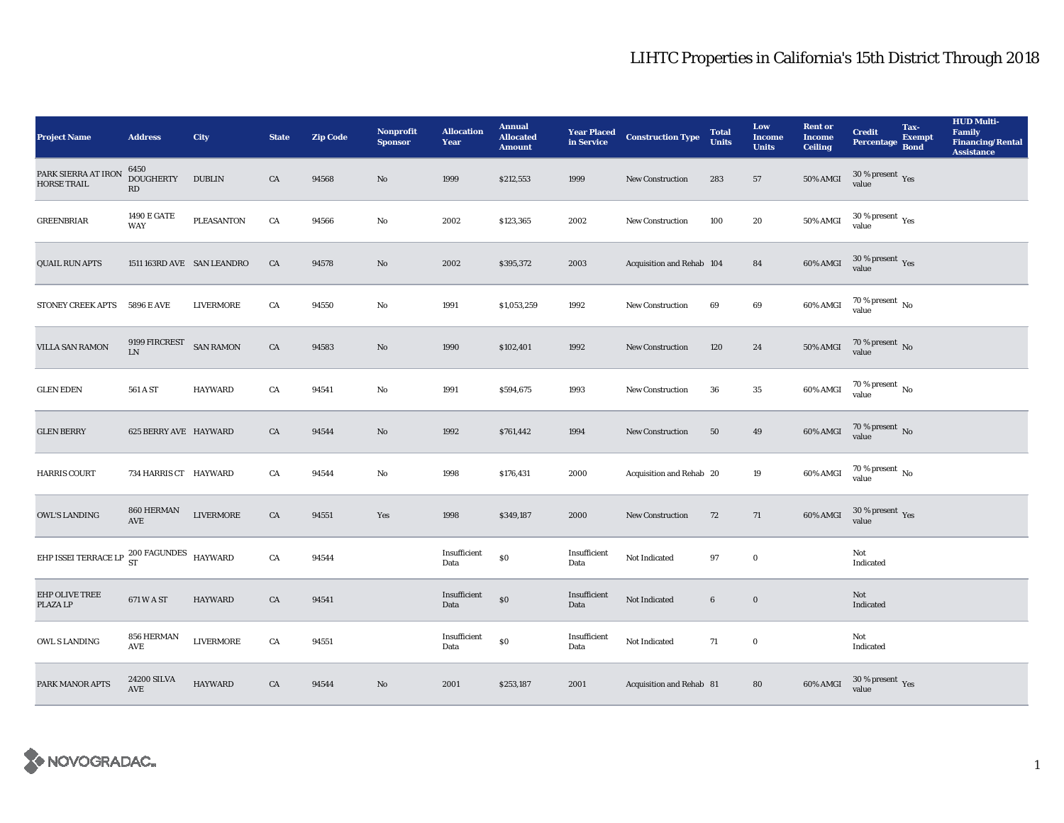| <b>Project Name</b>                                                                            | <b>Address</b>                     | <b>City</b>                | <b>State</b> | <b>Zip Code</b> | Nonprofit<br><b>Sponsor</b> | <b>Allocation</b><br>Year | <b>Annual</b><br><b>Allocated</b><br><b>Amount</b> |                      | <b>Year Placed Construction Type</b><br>in Service | <b>Total</b><br><b>Units</b> | Low<br><b>Income</b><br><b>Units</b> | <b>Rent or</b><br><b>Income</b><br><b>Ceiling</b> | <b>Credit</b><br><b>Percentage</b> | Tax-<br>Exempt<br><b>Bond</b> | <b>HUD Multi-</b><br>Family<br><b>Financing/Rental</b><br><b>Assistance</b> |
|------------------------------------------------------------------------------------------------|------------------------------------|----------------------------|--------------|-----------------|-----------------------------|---------------------------|----------------------------------------------------|----------------------|----------------------------------------------------|------------------------------|--------------------------------------|---------------------------------------------------|------------------------------------|-------------------------------|-----------------------------------------------------------------------------|
| PARK SIERRA AT IRON<br><b>HORSE TRAIL</b>                                                      | 6450<br><b>DOUGHERTY</b><br>RD     | <b>DUBLIN</b>              | CA           | 94568           | $\mathbf{No}$               | 1999                      | \$212,553                                          | 1999                 | New Construction                                   | 283                          | 57                                   | <b>50% AMGI</b>                                   | $30\,\%$ present $\,$ Yes value    |                               |                                                                             |
| <b>GREENBRIAR</b>                                                                              | <b>1490 E GATE</b><br><b>WAY</b>   | <b>PLEASANTON</b>          | CA           | 94566           | No                          | 2002                      | \$123,365                                          | 2002                 | New Construction                                   | 100                          | 20                                   | $50\%$ AMGI                                       | $30\,\%$ present $\,$ Yes value    |                               |                                                                             |
| <b>QUAIL RUN APTS</b>                                                                          |                                    | 1511 163RD AVE SAN LEANDRO | CA           | 94578           | $\mathbf{N}\mathbf{o}$      | 2002                      | \$395,372                                          | 2003                 | Acquisition and Rehab 104                          |                              | 84                                   | 60% AMGI                                          | $30\,\%$ present $\,$ Yes value    |                               |                                                                             |
| <b>STONEY CREEK APTS</b>                                                                       | 5896 E AVE                         | LIVERMORE                  | CA           | 94550           | No                          | 1991                      | \$1,053,259                                        | 1992                 | <b>New Construction</b>                            | 69                           | $\bf{69}$                            | 60% AMGI                                          | $70\,\%$ present $\,$ No value     |                               |                                                                             |
| <b>VILLA SAN RAMON</b>                                                                         | 9199 FIRCREST<br>${\rm LN}$        | <b>SAN RAMON</b>           | ${\rm CA}$   | 94583           | $\rm No$                    | 1990                      | \$102,401                                          | 1992                 | New Construction                                   | 120                          | $\bf 24$                             | $50\%$ AMGI                                       | $70\,\%$ present $\,$ No value     |                               |                                                                             |
| <b>GLEN EDEN</b>                                                                               | 561 A ST                           | <b>HAYWARD</b>             | CA           | 94541           | No                          | 1991                      | \$594,675                                          | 1993                 | New Construction                                   | 36                           | $35\,$                               | 60% AMGI                                          | $70\,\%$ present $\,$ No value     |                               |                                                                             |
| <b>GLEN BERRY</b>                                                                              | <b>625 BERRY AVE HAYWARD</b>       |                            | CA           | 94544           | $\mathbf{No}$               | 1992                      | \$761,442                                          | 1994                 | New Construction                                   | 50                           | 49                                   | 60% AMGI                                          | $70\,\%$ present $\,$ No value     |                               |                                                                             |
| <b>HARRIS COURT</b>                                                                            | 734 HARRIS CT HAYWARD              |                            | CA           | 94544           | $\mathbf{No}$               | 1998                      | \$176,431                                          | 2000                 | Acquisition and Rehab 20                           |                              | $19\,$                               | 60% AMGI                                          | $70\,\%$ present $\,$ No value     |                               |                                                                             |
| <b>OWL'S LANDING</b>                                                                           | 860 HERMAN<br>$\operatorname{AVE}$ | ${\rm LIVERMORE}$          | CA           | 94551           | Yes                         | 1998                      | \$349,187                                          | 2000                 | New Construction                                   | 72                           | 71                                   | 60% AMGI                                          | $30\,\%$ present $\,$ Yes value    |                               |                                                                             |
| EHP ISSEI TERRACE LP $\begin{array}{cc} 200 \text{ FAGUNDES} \\ \text{ST} \end{array}$ HAYWARD |                                    |                            | ${\rm CA}$   | 94544           |                             | Insufficient<br>Data      | $\$0$                                              | Insufficient<br>Data | Not Indicated                                      | 97                           | $\bf{0}$                             |                                                   | Not<br>Indicated                   |                               |                                                                             |
| EHP OLIVE TREE<br>PLAZA LP                                                                     | 671 W A ST                         | HAYWARD                    | CA           | 94541           |                             | Insufficient<br>Data      | \$0                                                | Insufficient<br>Data | Not Indicated                                      | $\bf 6$                      | $\boldsymbol{0}$                     |                                                   | Not<br>Indicated                   |                               |                                                                             |
| OWL S LANDING                                                                                  | 856 HERMAN<br>$\operatorname{AVE}$ | <b>LIVERMORE</b>           | CA           | 94551           |                             | Insufficient<br>Data      | $\$0$                                              | Insufficient<br>Data | Not Indicated                                      | 71                           | $\mathbf 0$                          |                                                   | Not<br>Indicated                   |                               |                                                                             |
| PARK MANOR APTS                                                                                | 24200 SILVA<br>AVE                 | <b>HAYWARD</b>             | ${\rm CA}$   | 94544           | No                          | 2001                      | \$253,187                                          | 2001                 | Acquisition and Rehab 81                           |                              | 80                                   | 60% AMGI                                          | $30\,\%$ present $\,$ Yes value    |                               |                                                                             |

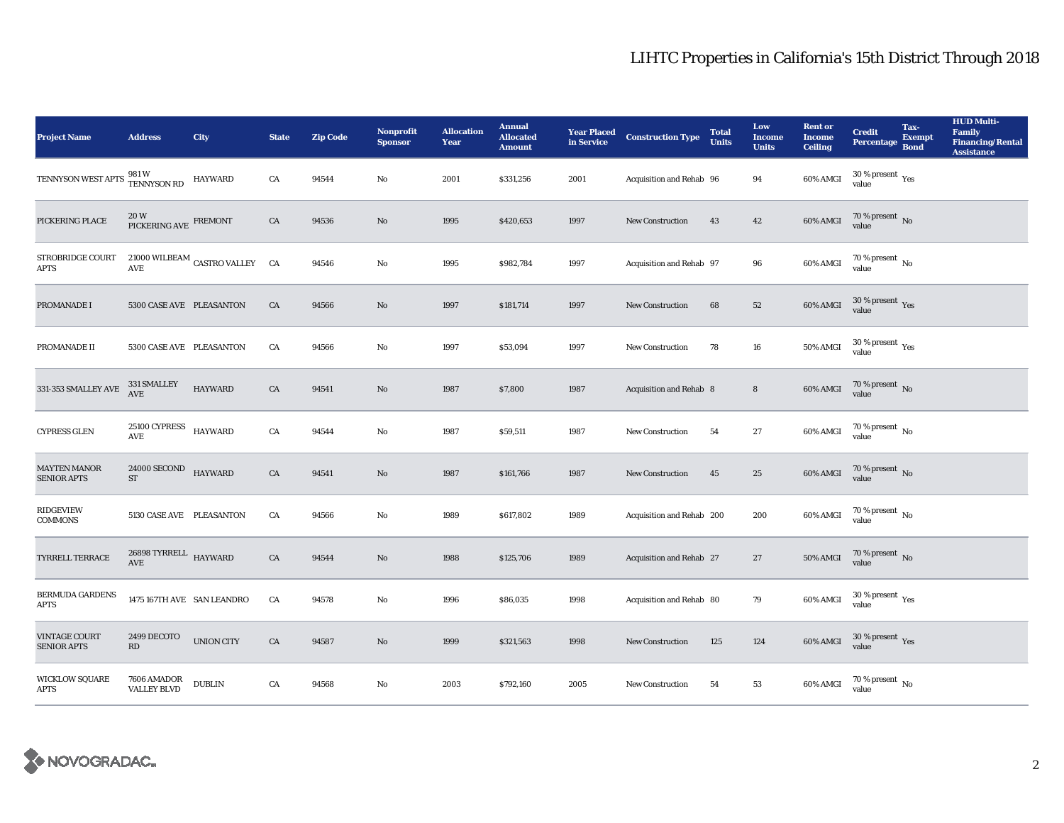| <b>Project Name</b>                        | <b>Address</b>                            | <b>City</b>                            | <b>State</b> | <b>Zip Code</b> | <b>Nonprofit</b><br><b>Sponsor</b> | <b>Allocation</b><br>Year | <b>Annual</b><br><b>Allocated</b><br><b>Amount</b> | <b>Year Placed<br/>in Service</b> | <b>Construction Type</b>  | <b>Total</b><br><b>Units</b> | Low<br><b>Income</b><br><b>Units</b> | <b>Rent or</b><br><b>Income</b><br><b>Ceiling</b> | <b>Credit</b><br><b>Percentage</b>      | Tax-<br>Exempt<br><b>Bond</b> | <b>HUD Multi-</b><br><b>Family</b><br><b>Financing/Rental</b><br><b>Assistance</b> |
|--------------------------------------------|-------------------------------------------|----------------------------------------|--------------|-----------------|------------------------------------|---------------------------|----------------------------------------------------|-----------------------------------|---------------------------|------------------------------|--------------------------------------|---------------------------------------------------|-----------------------------------------|-------------------------------|------------------------------------------------------------------------------------|
| TENNYSON WEST APTS                         | 981 W<br><b>TENNYSON RD</b>               | <b>HAYWARD</b>                         | CA           | 94544           | No                                 | 2001                      | \$331,256                                          | 2001                              | Acquisition and Rehab 96  |                              | 94                                   | 60% AMGI                                          | $30$ % present $\,$ $\rm Yes$<br>value  |                               |                                                                                    |
| PICKERING PLACE                            | $20\,\rm{W}$ PICKERING AVE $\rm{FREMONT}$ |                                        | ${\rm CA}$   | 94536           | No                                 | 1995                      | \$420,653                                          | 1997                              | New Construction          | 43                           | $\bf{42}$                            | 60% AMGI                                          | $70$ % present $\,$ No value            |                               |                                                                                    |
| STROBRIDGE COURT<br><b>APTS</b>            | <b>AVE</b>                                | 21000 WILBEAM CASTRO VALLEY $\quad$ CA |              | 94546           | No                                 | 1995                      | \$982,784                                          | 1997                              | Acquisition and Rehab 97  |                              | 96                                   | 60% AMGI                                          | 70 % present $\,$ No $\,$<br>value      |                               |                                                                                    |
| PROMANADE I                                | 5300 CASE AVE PLEASANTON                  |                                        | CA           | 94566           | $\mathbf{No}$                      | 1997                      | \$181,714                                          | 1997                              | New Construction          | 68                           | $52\,$                               | 60% AMGI                                          | $30\,\%$ present $\,$ Yes value         |                               |                                                                                    |
| PROMANADE II                               | 5300 CASE AVE PLEASANTON                  |                                        | CA           | 94566           | No                                 | 1997                      | \$53,094                                           | 1997                              | New Construction          | 78                           | 16                                   | <b>50% AMGI</b>                                   | $30\,\%$ present $\,$ Yes value         |                               |                                                                                    |
| 331-353 SMALLEY AVE                        | 331 SMALLEY<br>AVE                        | <b>HAYWARD</b>                         | CA           | 94541           | No                                 | 1987                      | \$7,800                                            | 1987                              | Acquisition and Rehab 8   |                              | $8\phantom{.}$                       | 60% AMGI                                          | $70$ % present $\,$ No value            |                               |                                                                                    |
| <b>CYPRESS GLEN</b>                        | 25100 CYPRESS HAYWARD<br>AVE              |                                        | ${\rm CA}$   | 94544           | No                                 | 1987                      | \$59,511                                           | 1987                              | New Construction          | 54                           | 27                                   | 60% AMGI                                          | 70 % present $\,$ No $\,$<br>value      |                               |                                                                                    |
| <b>MAYTEN MANOR</b><br><b>SENIOR APTS</b>  | <b>24000 SECOND</b><br>ST                 | HAYWARD                                | CA           | 94541           | No                                 | 1987                      | \$161,766                                          | 1987                              | New Construction          | 45                           | 25                                   | 60% AMGI                                          | $70\,\%$ present $\,$ No value          |                               |                                                                                    |
| <b>RIDGEVIEW</b><br>COMMONS                | 5130 CASE AVE PLEASANTON                  |                                        | ${\rm CA}$   | 94566           | No                                 | 1989                      | \$617,802                                          | 1989                              | Acquisition and Rehab 200 |                              | 200                                  | 60% AMGI                                          | $70$ % present $\,$ No value            |                               |                                                                                    |
| TYRRELL TERRACE                            | $26898$ TYRRELL $\,$ HAYWARD<br>AVE       |                                        | ${\rm CA}$   | 94544           | No                                 | 1988                      | \$125,706                                          | 1989                              | Acquisition and Rehab 27  |                              | 27                                   | <b>50% AMGI</b>                                   | $70\,\%$ present $\,$ No value          |                               |                                                                                    |
| <b>BERMUDA GARDENS</b><br><b>APTS</b>      | 1475 167TH AVE SAN LEANDRO                |                                        | ${\rm CA}$   | 94578           | No                                 | 1996                      | \$86,035                                           | 1998                              | Acquisition and Rehab 80  |                              | $\bf 79$                             | 60% AMGI                                          | $30\,\%$ present $\,\mathrm{Yes}$ value |                               |                                                                                    |
| <b>VINTAGE COURT</b><br><b>SENIOR APTS</b> | 2499 DECOTO<br>RD                         | UNION CITY                             | CA           | 94587           | No                                 | 1999                      | \$321,563                                          | 1998                              | New Construction          | 125                          | 124                                  | 60% AMGI                                          | $30\,\%$ present $\,$ Yes value         |                               |                                                                                    |
| <b>WICKLOW SQUARE</b><br>APTS              | 7606 AMADOR<br><b>VALLEY BLVD</b>         | <b>DUBLIN</b>                          | CA           | 94568           | No                                 | 2003                      | \$792,160                                          | 2005                              | <b>New Construction</b>   | 54                           | 53                                   | 60% AMGI                                          | 70 % present $\,$ No $\,$<br>value      |                               |                                                                                    |

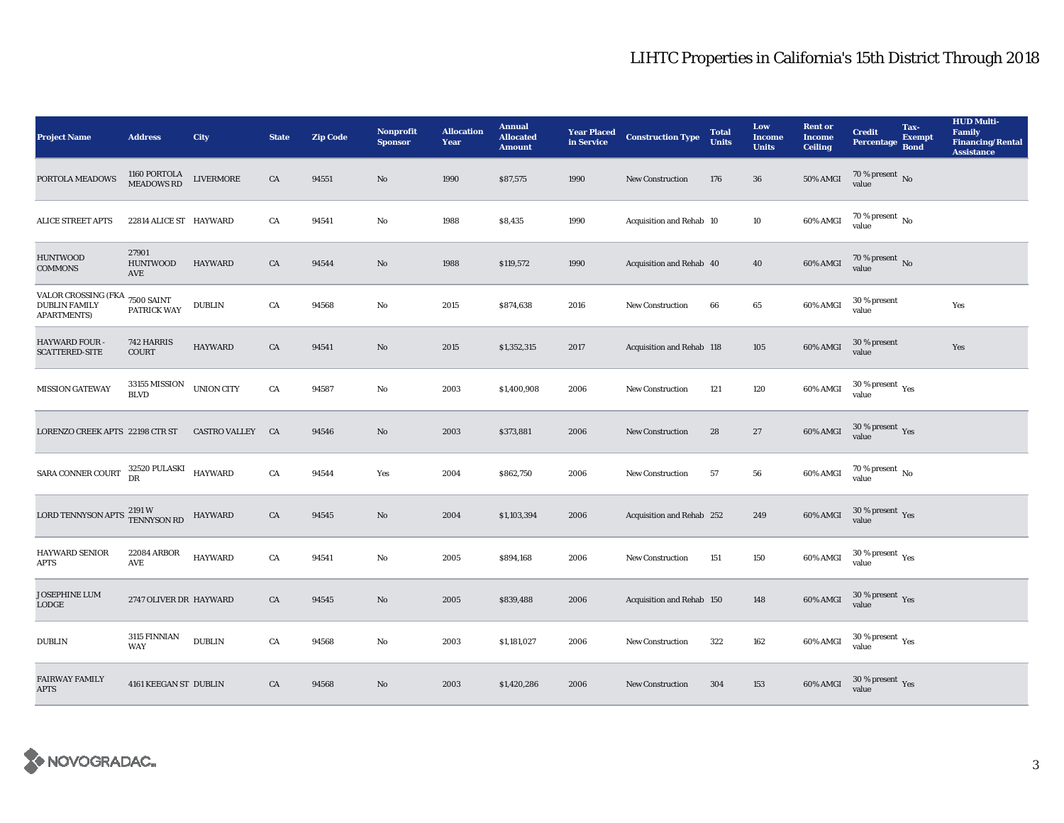| <b>Project Name</b>                                               | <b>Address</b>                                      | City              | <b>State</b> | <b>Zip Code</b> | <b>Nonprofit</b><br><b>Sponsor</b> | <b>Allocation</b><br>Year | <b>Annual</b><br><b>Allocated</b><br><b>Amount</b> | in Service | <b>Year Placed Construction Type</b> | <b>Total</b><br><b>Units</b> | Low<br><b>Income</b><br><b>Units</b> | <b>Rent or</b><br><b>Income</b><br><b>Ceiling</b> | <b>Credit</b><br>Percentage               | Tax-<br><b>Exempt</b><br><b>Bond</b> | <b>HUD Multi-</b><br><b>Family</b><br><b>Financing/Rental</b><br><b>Assistance</b> |
|-------------------------------------------------------------------|-----------------------------------------------------|-------------------|--------------|-----------------|------------------------------------|---------------------------|----------------------------------------------------|------------|--------------------------------------|------------------------------|--------------------------------------|---------------------------------------------------|-------------------------------------------|--------------------------------------|------------------------------------------------------------------------------------|
| PORTOLA MEADOWS                                                   | 1160 PORTOLA<br>MEADOWS RD                          | <b>LIVERMORE</b>  | CA           | 94551           | $\mathbf{N}\mathbf{o}$             | 1990                      | \$87,575                                           | 1990       | <b>New Construction</b>              | 176                          | ${\bf 36}$                           | <b>50% AMGI</b>                                   | 70 % present $\,$ No $\,$<br>value        |                                      |                                                                                    |
| <b>ALICE STREET APTS</b>                                          | 22814 ALICE ST HAYWARD                              |                   | CA           | 94541           | $\mathbf{No}$                      | 1988                      | \$8,435                                            | 1990       | Acquisition and Rehab 10             |                              | $10\,$                               | 60% AMGI                                          | $70$ % present $\,$ No value              |                                      |                                                                                    |
| <b>HUNTWOOD</b><br><b>COMMONS</b>                                 | 27901<br><b>HUNTWOOD</b><br>AVE                     | HAYWARD           | CA           | 94544           | $\mathbf{N}\mathbf{o}$             | 1988                      | \$119,572                                          | 1990       | Acquisition and Rehab 40             |                              | 40                                   | 60% AMGI                                          | $70$ % present $\,$ No value              |                                      |                                                                                    |
| VALOR CROSSING (FKA<br><b>DUBLIN FAMILY</b><br><b>APARTMENTS)</b> | <b>7500 SAINT</b><br>PATRICK WAY                    | <b>DUBLIN</b>     | CA           | 94568           | No                                 | 2015                      | \$874,638                                          | 2016       | <b>New Construction</b>              | 66                           | 65                                   | 60% AMGI                                          | 30 % present<br>value                     |                                      | Yes                                                                                |
| <b>HAYWARD FOUR</b><br><b>SCATTERED-SITE</b>                      | 742 HARRIS<br>COURT                                 | <b>HAYWARD</b>    | CA           | 94541           | $\mathbf{N}\mathbf{o}$             | 2015                      | \$1,352,315                                        | 2017       | Acquisition and Rehab 118            |                              | 105                                  | 60% AMGI                                          | 30 % present<br>value                     |                                      | Yes                                                                                |
| <b>MISSION GATEWAY</b>                                            | 33155 MISSION<br><b>BLVD</b>                        | <b>UNION CITY</b> | ${\rm CA}$   | 94587           | No                                 | 2003                      | \$1,400,908                                        | 2006       | New Construction                     | 121                          | 120                                  | $60\%$ AMGI                                       | $30\,\%$ present $\,$ $\rm{Yes}$<br>value |                                      |                                                                                    |
| LORENZO CREEK APTS 22198 CTR ST                                   |                                                     | CASTRO VALLEY CA  |              | 94546           | $\mathbf{N}\mathbf{o}$             | 2003                      | \$373,881                                          | 2006       | New Construction                     | 28                           | $\bf 27$                             | 60% AMGI                                          | $30\,\%$ present $\,\mathrm{Yes}$ value   |                                      |                                                                                    |
| SARA CONNER COURT                                                 | $32520\ \mbox{PULASKI}\ \,$ HAYWARD DR              |                   | CA           | 94544           | Yes                                | 2004                      | \$862,750                                          | 2006       | <b>New Construction</b>              | 57                           | 56                                   | 60% AMGI                                          | $70$ % present $\,$ No $\,$<br>value      |                                      |                                                                                    |
| LORD TENNYSON APTS 2191 W<br>TENNYSON RD                          |                                                     | HAYWARD           | CA           | 94545           | $\mathbf{N}\mathbf{o}$             | 2004                      | \$1,103,394                                        | 2006       | Acquisition and Rehab 252            |                              | 249                                  | 60% AMGI                                          | $30\,\%$ present $\,\mathrm{Yes}$ value   |                                      |                                                                                    |
| <b>HAYWARD SENIOR</b><br><b>APTS</b>                              | <b>22084 ARBOR</b><br>$\operatorname{\mathsf{AVE}}$ | <b>HAYWARD</b>    | ${\rm CA}$   | 94541           | $\rm No$                           | 2005                      | \$894,168                                          | 2006       | <b>New Construction</b>              | 151                          | 150                                  | 60% AMGI                                          | $30\,\%$ present $\,$ $\rm{Yes}$<br>value |                                      |                                                                                    |
| JOSEPHINE LUM<br>LODGE                                            | 2747 OLIVER DR HAYWARD                              |                   | CA           | 94545           | $\mathbf{N}\mathbf{o}$             | 2005                      | \$839,488                                          | 2006       | Acquisition and Rehab 150            |                              | 148                                  | 60% AMGI                                          | $30\,\%$ present $\,$ Yes value           |                                      |                                                                                    |
| <b>DUBLIN</b>                                                     | 3115 FINNIAN<br><b>WAY</b>                          | <b>DUBLIN</b>     | CA           | 94568           | $\mathbf{No}$                      | 2003                      | \$1,181,027                                        | 2006       | New Construction                     | 322                          | 162                                  | 60% AMGI                                          | $30\,\%$ present $\,\mathrm{Yes}$ value   |                                      |                                                                                    |
| <b>FAIRWAY FAMILY</b><br><b>APTS</b>                              | 4161 KEEGAN ST DUBLIN                               |                   | CA           | 94568           | $\rm No$                           | 2003                      | \$1,420,286                                        | 2006       | <b>New Construction</b>              | 304                          | 153                                  | 60% AMGI                                          | $30\,\%$ present $\,$ $\rm Yes$<br>value  |                                      |                                                                                    |

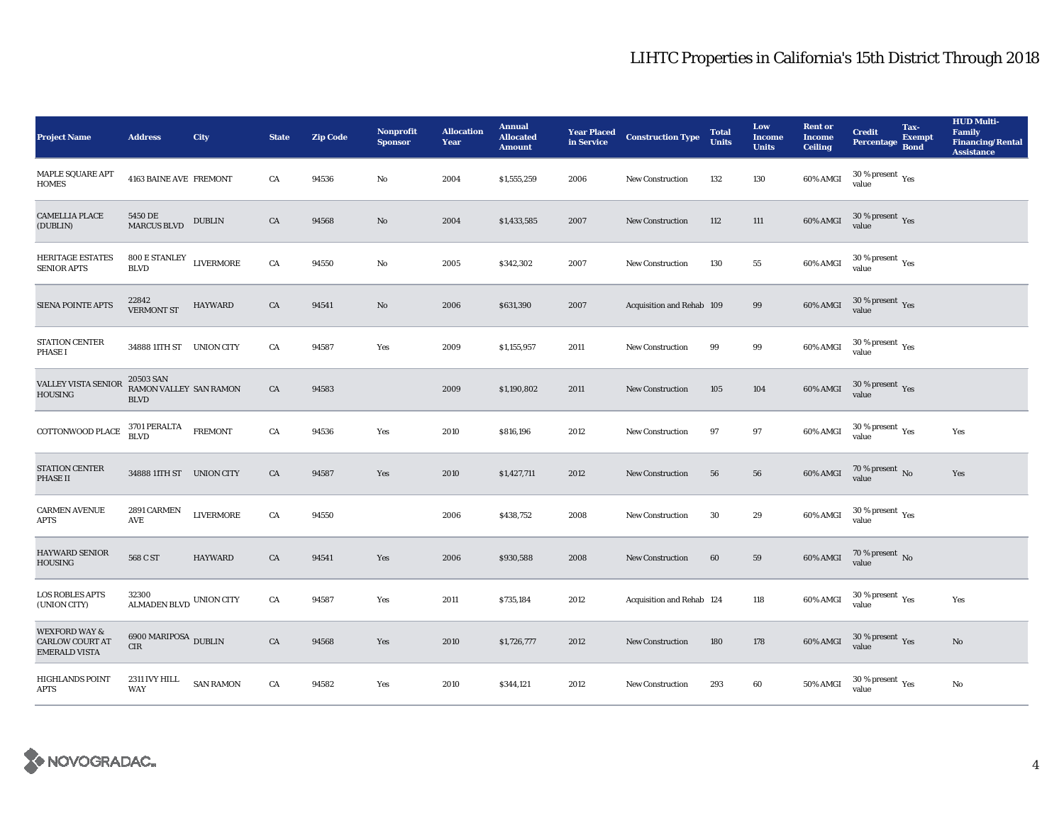| <b>Project Name</b>                                                        | <b>Address</b>                                     | City              | <b>State</b> | <b>Zip Code</b> | <b>Nonprofit</b><br><b>Sponsor</b> | <b>Allocation</b><br>Year | <b>Annual</b><br><b>Allocated</b><br><b>Amount</b> | <b>Year Placed</b><br>in Service | <b>Construction Type</b>  | <b>Total</b><br><b>Units</b> | Low<br><b>Income</b><br><b>Units</b> | <b>Rent or</b><br><b>Income</b><br><b>Ceiling</b> | <b>Credit</b><br>Percentage                   | Tax-<br><b>Exempt</b><br><b>Bond</b> | <b>HUD Multi-</b><br><b>Family</b><br><b>Financing/Rental</b><br><b>Assistance</b> |
|----------------------------------------------------------------------------|----------------------------------------------------|-------------------|--------------|-----------------|------------------------------------|---------------------------|----------------------------------------------------|----------------------------------|---------------------------|------------------------------|--------------------------------------|---------------------------------------------------|-----------------------------------------------|--------------------------------------|------------------------------------------------------------------------------------|
| MAPLE SQUARE APT<br><b>HOMES</b>                                           | 4163 BAINE AVE FREMONT                             |                   | CA           | 94536           | No                                 | 2004                      | \$1,555,259                                        | 2006                             | <b>New Construction</b>   | 132                          | 130                                  | 60% AMGI                                          | $30$ % present $\rm \gamma_{\rm PS}$<br>value |                                      |                                                                                    |
| <b>CAMELLIA PLACE</b><br>(DUBLIN)                                          | 5450 DE<br><b>MARCUS BLVD</b>                      | <b>DUBLIN</b>     | CA           | 94568           | No                                 | 2004                      | \$1,433,585                                        | 2007                             | <b>New Construction</b>   | 112                          | 111                                  | 60% AMGI                                          | $30\,\%$ present $\,$ Yes value               |                                      |                                                                                    |
| <b>HERITAGE ESTATES</b><br><b>SENIOR APTS</b>                              | $800\,\mathrm{E}\,\mathrm{STANLEY}$<br><b>BLVD</b> | <b>LIVERMORE</b>  | CA           | 94550           | $\mathbf{No}$                      | 2005                      | \$342,302                                          | 2007                             | <b>New Construction</b>   | 130                          | ${\bf 55}$                           | 60% AMGI                                          | $30$ % present $\,$ $\rm Yes$<br>value        |                                      |                                                                                    |
| <b>SIENA POINTE APTS</b>                                                   | 22842<br><b>VERMONT ST</b>                         | <b>HAYWARD</b>    | CA           | 94541           | No                                 | 2006                      | \$631,390                                          | 2007                             | Acquisition and Rehab 109 |                              | $\bf{99}$                            | 60% AMGI                                          | $30\,\%$ present $\,$ Yes value               |                                      |                                                                                    |
| STATION CENTER<br><b>PHASE I</b>                                           | 34888 11TH ST UNION CITY                           |                   | CA           | 94587           | Yes                                | 2009                      | \$1,155,957                                        | 2011                             | <b>New Construction</b>   | 99                           | 99                                   | $60\%$ AMGI                                       | $30\,\%$ present $\,$ Yes value               |                                      |                                                                                    |
| VALLEY VISTA SENIOR<br>HOUSING                                             | 20503 SAN<br>RAMON VALLEY SAN RAMON<br><b>BLVD</b> |                   | CA           | 94583           |                                    | 2009                      | \$1,190,802                                        | 2011                             | <b>New Construction</b>   | 105                          | 104                                  | 60% AMGI                                          | $30\,\%$ present $\,$ Yes value               |                                      |                                                                                    |
| COTTONWOOD PLACE                                                           | 3701 PERALTA<br><b>BLVD</b>                        | <b>FREMONT</b>    | ${\rm CA}$   | 94536           | Yes                                | 2010                      | \$816,196                                          | 2012                             | <b>New Construction</b>   | 97                           | 97                                   | 60% AMGI                                          | $30\,\%$ present $\,$ $\rm Yes$<br>value      |                                      | Yes                                                                                |
| <b>STATION CENTER</b><br>PHASE II                                          | 34888 11TH ST UNION CITY                           |                   | CA           | 94587           | Yes                                | 2010                      | \$1,427,711                                        | 2012                             | <b>New Construction</b>   | 56                           | ${\bf 56}$                           | 60% AMGI                                          | $70$ % present $\,$ No value                  |                                      | Yes                                                                                |
| <b>CARMEN AVENUE</b><br><b>APTS</b>                                        | 2891 CARMEN<br>AVE                                 | ${\rm LIVERMORE}$ | CA           | 94550           |                                    | 2006                      | \$438,752                                          | 2008                             | New Construction          | 30                           | $\bf 29$                             | 60% AMGI                                          | $30\,\%$ present $\,$ $\rm Yes$<br>value      |                                      |                                                                                    |
| <b>HAYWARD SENIOR</b><br>HOUSING                                           | 568 C ST                                           | <b>HAYWARD</b>    | CA           | 94541           | Yes                                | 2006                      | \$930,588                                          | 2008                             | <b>New Construction</b>   | 60                           | 59                                   | 60% AMGI                                          | $70\,\%$ present $\,$ No value                |                                      |                                                                                    |
| <b>LOS ROBLES APTS</b><br>(UNION CITY)                                     | 32300<br>ALMADEN BLVD UNION CITY                   |                   | CA           | 94587           | Yes                                | 2011                      | \$735,184                                          | 2012                             | Acquisition and Rehab 124 |                              | 118                                  | 60% AMGI                                          | $30\,\%$ present $\,$ $\rm Yes$<br>value      |                                      | Yes                                                                                |
| <b>WEXFORD WAY &amp;</b><br><b>CARLOW COURT AT</b><br><b>EMERALD VISTA</b> | $6900\,\mathrm{MARIPOSA}$ DUBLIN<br>CIR            |                   | CA           | 94568           | Yes                                | 2010                      | \$1,726,777                                        | 2012                             | <b>New Construction</b>   | 180                          | 178                                  | 60% AMGI                                          | $30\,\%$ present $\,$ Yes value               |                                      | $\mathbf{No}$                                                                      |
| HIGHLANDS POINT<br>APTS                                                    | 2311 IVY HILL<br><b>WAY</b>                        | <b>SAN RAMON</b>  | CA           | 94582           | Yes                                | 2010                      | \$344,121                                          | 2012                             | <b>New Construction</b>   | 293                          | 60                                   | 50% AMGI                                          | $30\,\%$ present $\,$ $\rm Yes$<br>value      |                                      | No                                                                                 |

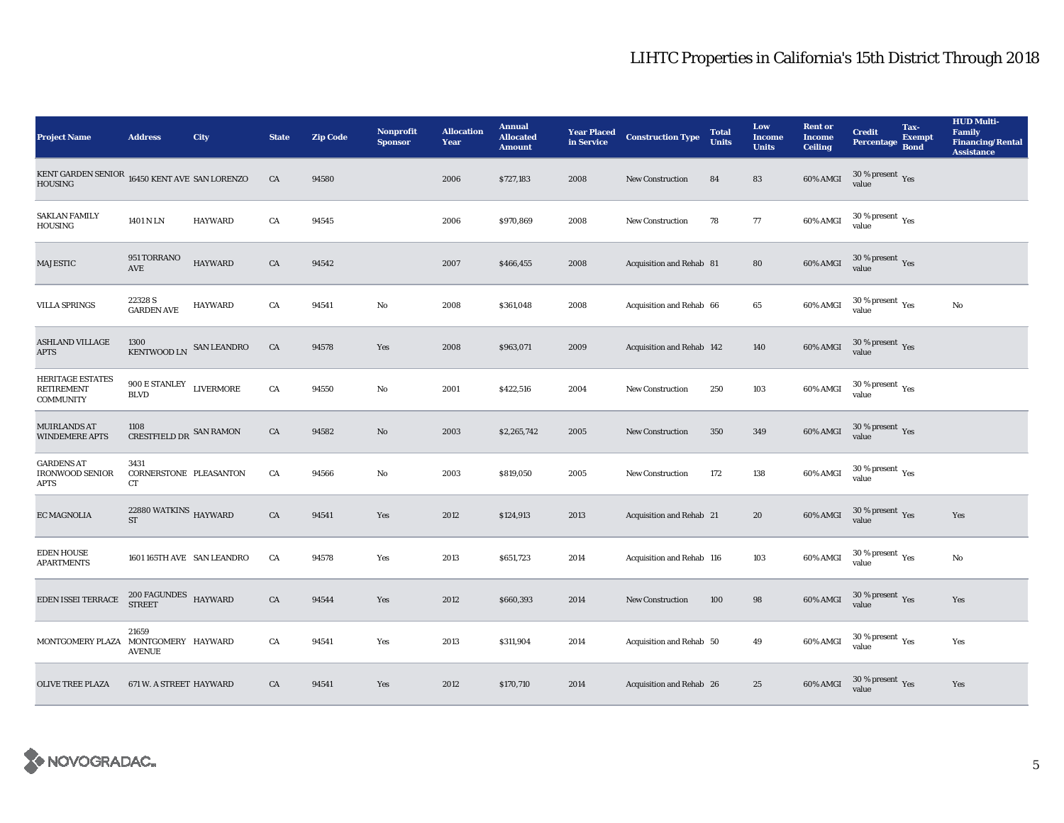| <b>Project Name</b>                                                            | <b>Address</b>                                        | City           | <b>State</b> | <b>Zip Code</b> | <b>Nonprofit</b><br><b>Sponsor</b> | <b>Allocation</b><br>Year | <b>Annual</b><br><b>Allocated</b><br><b>Amount</b> | <b>Year Placed<br/>in Service</b> | <b>Construction Type</b>  | <b>Total</b><br><b>Units</b> | Low<br><b>Income</b><br><b>Units</b> | <b>Rent or</b><br><b>Income</b><br><b>Ceiling</b> | <b>Credit</b><br><b>Percentage</b>              | Tax-<br><b>Exempt</b><br><b>Bond</b> | <b>HUD Multi-</b><br><b>Family</b><br><b>Financing/Rental</b><br><b>Assistance</b> |
|--------------------------------------------------------------------------------|-------------------------------------------------------|----------------|--------------|-----------------|------------------------------------|---------------------------|----------------------------------------------------|-----------------------------------|---------------------------|------------------------------|--------------------------------------|---------------------------------------------------|-------------------------------------------------|--------------------------------------|------------------------------------------------------------------------------------|
| KENT GARDEN SENIOR $\,$ 16450 KENT AVE $\,$ SAN LORENZO $\,$<br><b>HOUSING</b> |                                                       |                | ${\rm CA}$   | 94580           |                                    | 2006                      | \$727,183                                          | 2008                              | <b>New Construction</b>   | 84                           | ${\bf 83}$                           | 60% AMGI                                          | 30 % present $\,$ $\rm Yes$<br>value            |                                      |                                                                                    |
| <b>SAKLAN FAMILY</b><br>HOUSING                                                | 1401 N LN                                             | <b>HAYWARD</b> | CA           | 94545           |                                    | 2006                      | \$970,869                                          | 2008                              | New Construction          | 78                           | 77                                   | 60% AMGI                                          | $30\,\%$ present $\,$ Yes value                 |                                      |                                                                                    |
| <b>MAJESTIC</b>                                                                | 951 TORRANO<br>AVE                                    | <b>HAYWARD</b> | CA           | 94542           |                                    | 2007                      | \$466,455                                          | 2008                              | Acquisition and Rehab 81  |                              | 80                                   | 60% AMGI                                          | $30\,\%$ present $\,$ Yes value                 |                                      |                                                                                    |
| <b>VILLA SPRINGS</b>                                                           | 22328 S<br><b>GARDEN AVE</b>                          | <b>HAYWARD</b> | CA           | 94541           | No                                 | 2008                      | \$361,048                                          | 2008                              | Acquisition and Rehab 66  |                              | 65                                   | 60% AMGI                                          | $30\,\%$ present $\,$ $\rm Yes$<br>value        |                                      | No                                                                                 |
| <b>ASHLAND VILLAGE</b><br><b>APTS</b>                                          | 1300<br>KENTWOOD LN SAN LEANDRO                       |                | CA           | 94578           | Yes                                | 2008                      | \$963,071                                          | 2009                              | Acquisition and Rehab 142 |                              | 140                                  | 60% AMGI                                          | $30\,\%$ present $\,$ Yes value                 |                                      |                                                                                    |
| <b>HERITAGE ESTATES</b><br><b>RETIREMENT</b><br><b>COMMUNITY</b>               | $900\,\mathrm{E\,STANLEY}$ LIVERMORE<br><b>BLVD</b>   |                | CA           | 94550           | No                                 | 2001                      | \$422,516                                          | 2004                              | New Construction          | 250                          | $103\,$                              | 60% AMGI                                          | $30\,\%$ present $\,\mathrm{Yes}$ value         |                                      |                                                                                    |
| MUIRLANDS AT<br><b>WINDEMERE APTS</b>                                          | 1108<br>CRESTFIELD DR SAN RAMON                       |                | ${\rm CA}$   | 94582           | $\mathbf{N}\mathbf{o}$             | 2003                      | \$2,265,742                                        | 2005                              | <b>New Construction</b>   | 350                          | 349                                  | 60% AMGI                                          | $30\,\%$ present $\,$ Yes value                 |                                      |                                                                                    |
| <b>GARDENS AT</b><br><b>IRONWOOD SENIOR</b><br><b>APTS</b>                     | 3431<br>CORNERSTONE PLEASANTON<br>CT                  |                | CA           | 94566           | No                                 | 2003                      | \$819,050                                          | 2005                              | <b>New Construction</b>   | 172                          | $138\,$                              | 60% AMGI                                          | $30\,\%$ present $\,\mathrm{Yes}$ value         |                                      |                                                                                    |
| <b>EC MAGNOLIA</b>                                                             | $22880\,{\rm WATKINS}$ HAYWARD<br>$\operatorname{ST}$ |                | CA           | 94541           | Yes                                | 2012                      | \$124,913                                          | 2013                              | Acquisition and Rehab 21  |                              | ${\bf 20}$                           | 60% AMGI                                          | $30\,\%$ present $\,$ Yes value                 |                                      | Yes                                                                                |
| <b>EDEN HOUSE</b><br><b>APARTMENTS</b>                                         | 1601 165TH AVE SAN LEANDRO                            |                | CA           | 94578           | Yes                                | 2013                      | \$651,723                                          | 2014                              | Acquisition and Rehab 116 |                              | 103                                  | 60% AMGI                                          | $30\,\%$ present $\rm\thinspace_{Yes}$<br>value |                                      | No                                                                                 |
| EDEN ISSEI TERRACE                                                             | $200\ \mbox{FAGUNDES}\ \mbox{HAYWARD}$                |                | ${\rm CA}$   | 94544           | Yes                                | 2012                      | \$660,393                                          | 2014                              | New Construction          | 100                          | 98                                   | 60% AMGI                                          | $30\,\%$ present $\,\mathrm{Yes}$ value         |                                      | Yes                                                                                |
| MONTGOMERY PLAZA MONTGOMERY HAYWARD                                            | 21659<br><b>AVENUE</b>                                |                | CA           | 94541           | Yes                                | 2013                      | \$311,904                                          | 2014                              | Acquisition and Rehab 50  |                              | $\bf 49$                             | 60% AMGI                                          | $30\,\%$ present $\,$ $\rm Yes$<br>value        |                                      | Yes                                                                                |
| <b>OLIVE TREE PLAZA</b>                                                        | 671 W. A STREET HAYWARD                               |                | CA           | 94541           | Yes                                | 2012                      | \$170,710                                          | 2014                              | Acquisition and Rehab 26  |                              | 25                                   | 60% AMGI                                          | $30\,\%$ present $\,$ Yes value                 |                                      | Yes                                                                                |